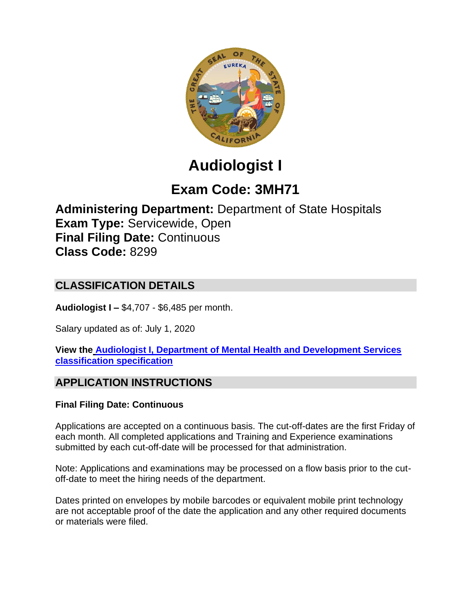

# **Audiologist I**

## **Exam Code: 3MH71**

**Administering Department:** Department of State Hospitals **Exam Type:** Servicewide, Open **Final Filing Date:** Continuous **Class Code:** 8299

## **CLASSIFICATION DETAILS**

**Audiologist I –** \$4,707 - \$6,485 per month.

Salary updated as of: July 1, 2020

**View the [Audiologist I, Department of Mental Health and Development Services](https://www.calhr.ca.gov/state-hr-professionals/pages/8273.aspx)  [classification specification](https://www.calhr.ca.gov/state-hr-professionals/pages/8273.aspx)**

## **APPLICATION INSTRUCTIONS**

#### **Final Filing Date: Continuous**

Applications are accepted on a continuous basis. The cut-off-dates are the first Friday of each month. All completed applications and Training and Experience examinations submitted by each cut-off-date will be processed for that administration.

Note: Applications and examinations may be processed on a flow basis prior to the cutoff-date to meet the hiring needs of the department.

Dates printed on envelopes by mobile barcodes or equivalent mobile print technology are not acceptable proof of the date the application and any other required documents or materials were filed.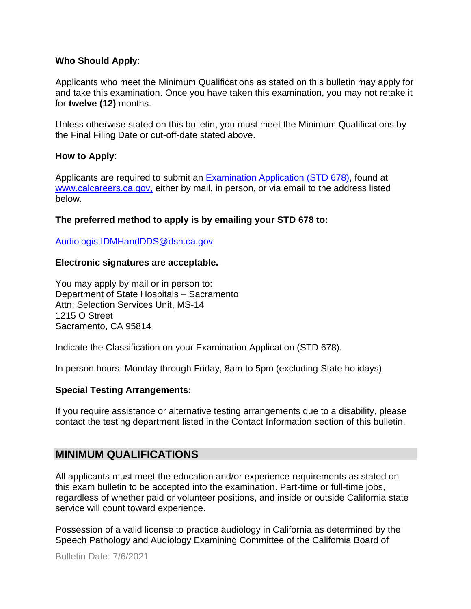#### **Who Should Apply**:

Applicants who meet the Minimum Qualifications as stated on this bulletin may apply for and take this examination. Once you have taken this examination, you may not retake it for **twelve (12)** months.

Unless otherwise stated on this bulletin, you must meet the Minimum Qualifications by the Final Filing Date or cut-off-date stated above.

#### **How to Apply**:

Applicants are required to submit an [Examination Application \(STD 678\),](https://jobs.ca.gov/pdf/std678.pdf) found at [www.calcareers.ca.gov,](http://www.calcareers.ca.gov/) either by mail, in person, or via email to the address listed below.

#### **The preferred method to apply is by emailing your STD 678 to:**

[AudiologistIDMHandDDS@dsh.ca.gov](mailto:AudiologistIDMHandDDS@dsh.ca.gov)

#### **Electronic signatures are acceptable.**

You may apply by mail or in person to: Department of State Hospitals – Sacramento Attn: Selection Services Unit, MS-14 1215 O Street Sacramento, CA 95814

Indicate the Classification on your Examination Application (STD 678).

In person hours: Monday through Friday, 8am to 5pm (excluding State holidays)

#### **Special Testing Arrangements:**

If you require assistance or alternative testing arrangements due to a disability, please contact the testing department listed in the Contact Information section of this bulletin.

#### **MINIMUM QUALIFICATIONS**

All applicants must meet the education and/or experience requirements as stated on this exam bulletin to be accepted into the examination. Part-time or full-time jobs, regardless of whether paid or volunteer positions, and inside or outside California state service will count toward experience.

Possession of a valid license to practice audiology in California as determined by the Speech Pathology and Audiology Examining Committee of the California Board of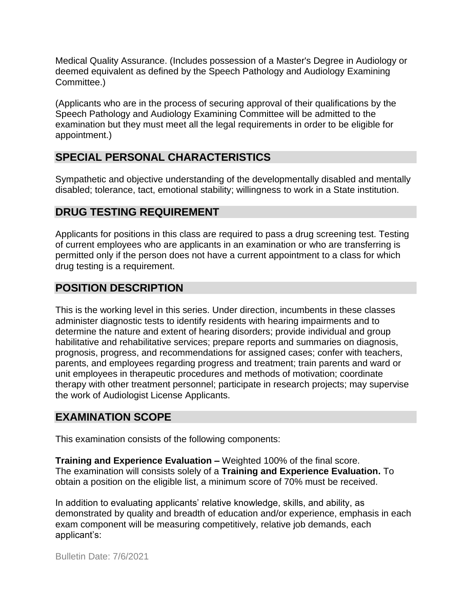Medical Quality Assurance. (Includes possession of a Master's Degree in Audiology or deemed equivalent as defined by the Speech Pathology and Audiology Examining Committee.)

(Applicants who are in the process of securing approval of their qualifications by the Speech Pathology and Audiology Examining Committee will be admitted to the examination but they must meet all the legal requirements in order to be eligible for appointment.)

## **SPECIAL PERSONAL CHARACTERISTICS**

Sympathetic and objective understanding of the developmentally disabled and mentally disabled; tolerance, tact, emotional stability; willingness to work in a State institution.

## **DRUG TESTING REQUIREMENT**

Applicants for positions in this class are required to pass a drug screening test. Testing of current employees who are applicants in an examination or who are transferring is permitted only if the person does not have a current appointment to a class for which drug testing is a requirement.

## **POSITION DESCRIPTION**

This is the working level in this series. Under direction, incumbents in these classes administer diagnostic tests to identify residents with hearing impairments and to determine the nature and extent of hearing disorders; provide individual and group habilitative and rehabilitative services; prepare reports and summaries on diagnosis, prognosis, progress, and recommendations for assigned cases; confer with teachers, parents, and employees regarding progress and treatment; train parents and ward or unit employees in therapeutic procedures and methods of motivation; coordinate therapy with other treatment personnel; participate in research projects; may supervise the work of Audiologist License Applicants.

#### **EXAMINATION SCOPE**

This examination consists of the following components:

**Training and Experience Evaluation –** Weighted 100% of the final score. The examination will consists solely of a **Training and Experience Evaluation.** To obtain a position on the eligible list, a minimum score of 70% must be received.

In addition to evaluating applicants' relative knowledge, skills, and ability, as demonstrated by quality and breadth of education and/or experience, emphasis in each exam component will be measuring competitively, relative job demands, each applicant's: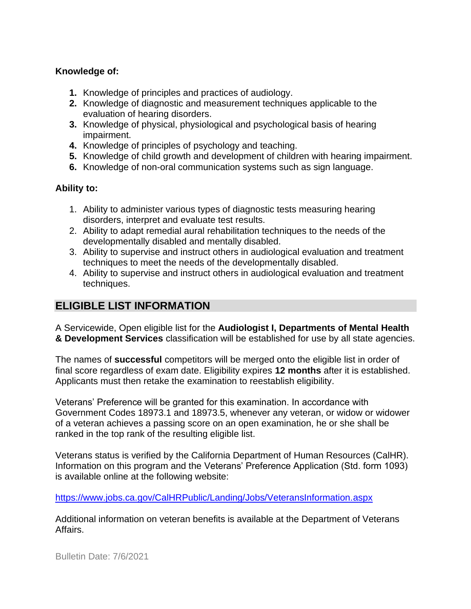#### **Knowledge of:**

- **1.** Knowledge of principles and practices of audiology.
- **2.** Knowledge of diagnostic and measurement techniques applicable to the evaluation of hearing disorders.
- **3.** Knowledge of physical, physiological and psychological basis of hearing impairment.
- **4.** Knowledge of principles of psychology and teaching.
- **5.** Knowledge of child growth and development of children with hearing impairment.
- **6.** Knowledge of non-oral communication systems such as sign language.

#### **Ability to:**

- 1. Ability to administer various types of diagnostic tests measuring hearing disorders, interpret and evaluate test results.
- 2. Ability to adapt remedial aural rehabilitation techniques to the needs of the developmentally disabled and mentally disabled.
- 3. Ability to supervise and instruct others in audiological evaluation and treatment techniques to meet the needs of the developmentally disabled.
- 4. Ability to supervise and instruct others in audiological evaluation and treatment techniques.

## **ELIGIBLE LIST INFORMATION**

A Servicewide, Open eligible list for the **Audiologist I, Departments of Mental Health & Development Services** classification will be established for use by all state agencies.

The names of **successful** competitors will be merged onto the eligible list in order of final score regardless of exam date. Eligibility expires **12 months** after it is established. Applicants must then retake the examination to reestablish eligibility.

Veterans' Preference will be granted for this examination. In accordance with Government Codes 18973.1 and 18973.5, whenever any veteran, or widow or widower of a veteran achieves a passing score on an open examination, he or she shall be ranked in the top rank of the resulting eligible list.

Veterans status is verified by the California Department of Human Resources (CalHR). Information on this program and the Veterans' Preference Application (Std. form 1093) is available online at the following website:

<https://www.jobs.ca.gov/CalHRPublic/Landing/Jobs/VeteransInformation.aspx>

Additional information on veteran benefits is available at the Department of Veterans Affairs.

Bulletin Date: 7/6/2021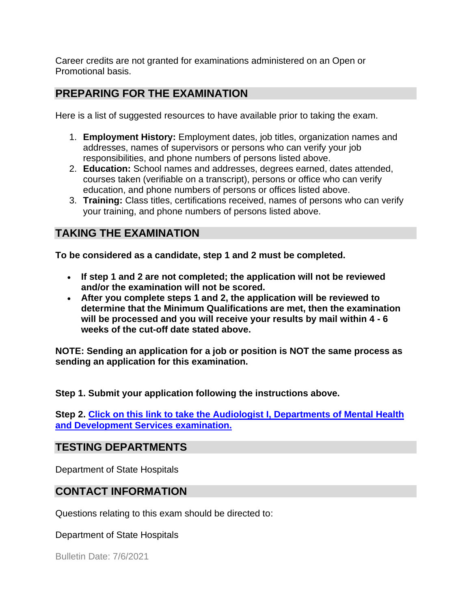Career credits are not granted for examinations administered on an Open or Promotional basis.

#### **PREPARING FOR THE EXAMINATION**

Here is a list of suggested resources to have available prior to taking the exam.

- 1. **Employment History:** Employment dates, job titles, organization names and addresses, names of supervisors or persons who can verify your job responsibilities, and phone numbers of persons listed above.
- 2. **Education:** School names and addresses, degrees earned, dates attended, courses taken (verifiable on a transcript), persons or office who can verify education, and phone numbers of persons or offices listed above.
- 3. **Training:** Class titles, certifications received, names of persons who can verify your training, and phone numbers of persons listed above.

## **TAKING THE EXAMINATION**

**To be considered as a candidate, step 1 and 2 must be completed.**

- **If step 1 and 2 are not completed; the application will not be reviewed and/or the examination will not be scored.**
- **After you complete steps 1 and 2, the application will be reviewed to determine that the Minimum Qualifications are met, then the examination will be processed and you will receive your results by mail within 4 - 6 weeks of the cut-off date stated above.**

**NOTE: Sending an application for a job or position is NOT the same process as sending an application for this examination.**

**Step 1. Submit your application following the instructions above.**

**Step 2. [Click on this link to take the Audiologist I, Departments of Mental Health](https://www.surveymonkey.com/r/8DZKP3T)  [and Development Services](https://www.surveymonkey.com/r/8DZKP3T) examination.**

#### **TESTING DEPARTMENTS**

Department of State Hospitals

## **CONTACT INFORMATION**

Questions relating to this exam should be directed to:

Department of State Hospitals

Bulletin Date: 7/6/2021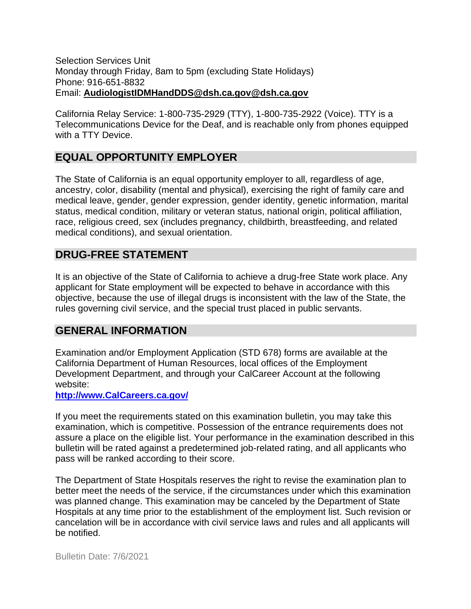#### Selection Services Unit Monday through Friday, 8am to 5pm (excluding State Holidays) Phone: 916-651-8832 Email: **[AudiologistIDMHandDDS@dsh.ca.gov@](mailto:AudiologistIDMHandDDS@dsh.ca.gov)dsh.ca.gov**

California Relay Service: 1-800-735-2929 (TTY), 1-800-735-2922 (Voice). TTY is a Telecommunications Device for the Deaf, and is reachable only from phones equipped with a TTY Device.

## **EQUAL OPPORTUNITY EMPLOYER**

The State of California is an equal opportunity employer to all, regardless of age, ancestry, color, disability (mental and physical), exercising the right of family care and medical leave, gender, gender expression, gender identity, genetic information, marital status, medical condition, military or veteran status, national origin, political affiliation, race, religious creed, sex (includes pregnancy, childbirth, breastfeeding, and related medical conditions), and sexual orientation.

## **DRUG-FREE STATEMENT**

It is an objective of the State of California to achieve a drug-free State work place. Any applicant for State employment will be expected to behave in accordance with this objective, because the use of illegal drugs is inconsistent with the law of the State, the rules governing civil service, and the special trust placed in public servants.

#### **GENERAL INFORMATION**

Examination and/or Employment Application (STD 678) forms are available at the California Department of Human Resources, local offices of the Employment Development Department, and through your CalCareer Account at the following website:

**http://www.CalCareers.ca.gov/**

If you meet the requirements stated on this examination bulletin, you may take this examination, which is competitive. Possession of the entrance requirements does not assure a place on the eligible list. Your performance in the examination described in this bulletin will be rated against a predetermined job-related rating, and all applicants who pass will be ranked according to their score.

The Department of State Hospitals reserves the right to revise the examination plan to better meet the needs of the service, if the circumstances under which this examination was planned change. This examination may be canceled by the Department of State Hospitals at any time prior to the establishment of the employment list. Such revision or cancelation will be in accordance with civil service laws and rules and all applicants will be notified.